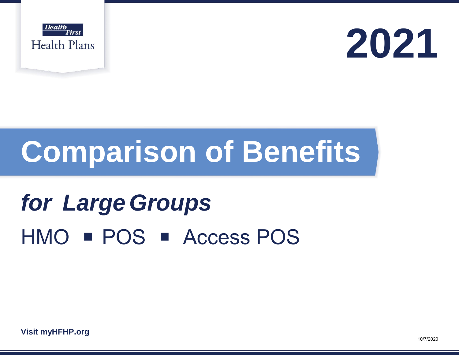



# **Comparison of Benefits**

## **for Large Groups** HMO **POS Access POS**

**Visit [myHFHP.org](http://myhfhp.org/)**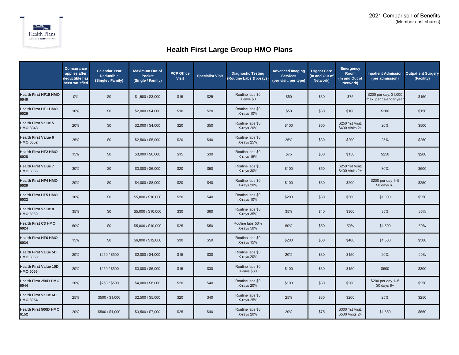

#### **Health First Large Group HMO Plans**

|                                                  | <b>Coinsurance</b><br>applies after<br>deductible has<br>been satisfied | <b>Calendar Year</b><br><b>Deductible</b><br>(Single / Family) | <b>Maximum Out of</b><br><b>Pocket</b><br>(Single / Family) | <b>PCP Office</b><br><b>Visit</b> | <b>Specialist Visit</b> | <b>Diagnostic Testing</b><br>(Routine Labs & X-rays) | <b>Advanced Imaging</b><br><b>Services</b><br>(per visit, per type) | <b>Urgent Care</b><br>(In and Out of<br>Network) | <b>Emergency</b><br>Room<br>(In and Out of<br>Network) | <b>Inpatient Admission Outpatient Surgery</b><br>(per admission) | (Facility) |
|--------------------------------------------------|-------------------------------------------------------------------------|----------------------------------------------------------------|-------------------------------------------------------------|-----------------------------------|-------------------------|------------------------------------------------------|---------------------------------------------------------------------|--------------------------------------------------|--------------------------------------------------------|------------------------------------------------------------------|------------|
| <b>Health First HF15 HMO</b><br>6040             | 0%                                                                      | \$0                                                            | \$1,500 / \$3,000                                           | \$15                              | \$25                    | Routine labs \$0<br>X-rays \$0                       | \$50                                                                | \$30                                             | \$75                                                   | \$200 per day, \$1,000<br>max. per calendar year                 | \$150      |
| Health First HF1 HMO<br>6026                     | 10%                                                                     | \$0                                                            | \$2,000 / \$4,000                                           | \$10                              | \$20                    | Routine labs \$0<br>X-rays 10%                       | \$50                                                                | \$30                                             | \$100                                                  | \$200                                                            | \$150      |
| <b>Health First Value 5</b><br>HMO 6048          | 20%                                                                     | \$0                                                            | \$2,000 / \$4,000                                           | \$20                              | \$50                    | Routine labs \$0<br>X-rays 20%                       | \$100                                                               | \$50                                             | \$250 1st Visit;<br>\$400 Visits 2+                    | 20%                                                              | \$500      |
| <b>Health First Value 6</b><br>HMO 6052          | 25%                                                                     | \$0                                                            | \$2,500 / \$5,000                                           | \$20                              | \$40                    | Routine labs \$0<br>X-rays 25%                       | 25%                                                                 | \$30                                             | \$200                                                  | 25%                                                              | \$250      |
| Health First HF2 HMO<br>6028                     | 15%                                                                     | \$0                                                            | \$3,000 / \$6,000                                           | \$15                              | \$30                    | Routine labs \$0<br>X-rays 15%                       | \$75                                                                | \$30                                             | \$150                                                  | \$250                                                            | \$200      |
| <b>Health First Value 7</b><br><b>HMO 6056</b>   | 30%                                                                     | \$0                                                            | \$3,000 / \$6,000                                           | \$20                              | \$50                    | Routine labs \$0<br>X-rays 30%                       | \$100                                                               | \$50                                             | \$250 1st Visit;<br>\$400 Visits 2+                    | 30%                                                              | \$500      |
| lealth First HF4 HMO<br>6030                     | 20%                                                                     | \$0                                                            | \$4,000 / \$8,000                                           | \$20                              | \$40                    | Routine labs \$0<br>X-rays 20%                       | \$100                                                               | \$30                                             | \$200                                                  | \$200 per day 1-5<br>$$0$ days $6+$                              | \$250      |
| Health First HF5 HMO<br>6032                     | 10%                                                                     | \$0                                                            | \$5,000 / \$10,000                                          | \$20                              | \$40                    | Routine labs \$0<br>X-rays 10%                       | \$200                                                               | \$30                                             | \$300                                                  | \$1,000                                                          | \$250      |
| <b>Health First Value 8</b><br><b>HMO 6060</b>   | 35%                                                                     | \$0                                                            | \$5,000 / \$10,000                                          | \$30                              | \$60                    | Routine labs \$0<br>X-rays 35%                       | 35%                                                                 | \$40                                             | \$300                                                  | 35%                                                              | 35%        |
| Health First C3 HMO<br>6024                      | 50%                                                                     | \$0                                                            | \$5,000 / \$10,000                                          | \$25                              | \$50                    | Routine labs 50%<br>X-rays 50%                       | 50%                                                                 | \$50                                             | 50%                                                    | \$1,500                                                          | 50%        |
| <b>Health First HF6 HMO</b><br>6034              | 15%                                                                     | \$0                                                            | \$6,000 / \$12,000                                          | \$30                              | \$50                    | Routine labs \$0<br>X-rays 15%                       | \$200                                                               | \$30                                             | \$400                                                  | \$1,500                                                          | \$300      |
| <b>Health First Value 5D</b><br><b>HMO 6050</b>  | 20%                                                                     | \$250 / \$500                                                  | \$2,000 / \$4,000                                           | \$15                              | \$30                    | Routine labs \$0<br>X-rays 20%                       | 20%                                                                 | \$30                                             | \$150                                                  | 20%                                                              | 20%        |
| <b>Health First Value 10D</b><br><b>HMO 6066</b> | 20%                                                                     | \$250 / \$500                                                  | \$3,000 / \$6,000                                           | \$15                              | \$30                    | Routine labs \$0<br>X-rays \$30                      | \$100                                                               | \$30                                             | \$150                                                  | \$500                                                            | \$300      |
| Health First 250D HMO<br>6044                    | 20%                                                                     | \$250 / \$500                                                  | \$4,000 / \$8,000                                           | \$20                              | \$40                    | Routine labs \$0<br>X-rays 20%                       | \$100                                                               | \$30                                             | \$200                                                  | \$200 per day 1-5<br>$$0$ days $6+$                              | \$250      |
| <b>Health First Value 6D</b><br>HMO 6054         | 25%                                                                     | \$500 / \$1,000                                                | \$2,500 / \$5,000                                           | \$20                              | \$40                    | Routine labs \$0<br>X-rays 25%                       | 25%                                                                 | \$30                                             | \$200                                                  | 25%                                                              | \$250      |
| lealth First 500D HMO<br>6152                    | 20%                                                                     | \$500 / \$1,000                                                | \$3,500 / \$7,000                                           | \$25                              | \$40                    | Routine labs \$0<br>X-rays 20%                       | 20%                                                                 | \$75                                             | \$300 1st Visit;<br>\$500 Visits 2+                    | \$1,650                                                          | \$650      |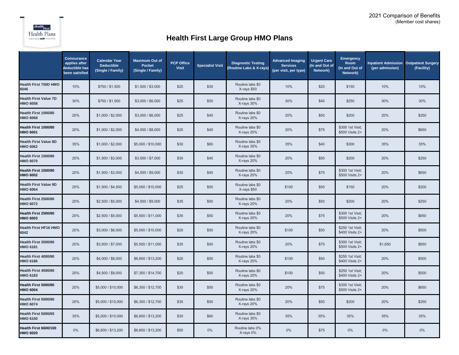

### **Health First Large Group HMO Plans**

|                                                 | <b>Coinsurance</b><br>applies after<br>deductible has<br>been satisfied | <b>Calendar Year</b><br><b>Deductible</b><br>(Single / Family) | <b>Maximum Out of</b><br><b>Pocket</b><br>(Single / Family) | <b>PCP Office</b><br><b>Visit</b> | <b>Specialist Visit</b> | <b>Diagnostic Testing</b><br>(Routine Labs & X-rays) | <b>Advanced Imaging</b><br><b>Services</b><br>(per visit, per type) | <b>Urgent Care</b><br>(In and Out of<br>Network) | <b>Emergency</b><br>Room<br>(In and Out of<br>Network) | <b>Inpatient Admission Outpatient Surgery</b><br>(per admission) | (Facility) |
|-------------------------------------------------|-------------------------------------------------------------------------|----------------------------------------------------------------|-------------------------------------------------------------|-----------------------------------|-------------------------|------------------------------------------------------|---------------------------------------------------------------------|--------------------------------------------------|--------------------------------------------------------|------------------------------------------------------------------|------------|
| <b>Health First 750D HMO</b><br>6046            | 10%                                                                     | \$750 / \$1,500                                                | \$1,500 / \$3,000                                           | \$20                              | \$30                    | Routine labs \$0<br>X-rays \$50                      | 10%                                                                 | \$20                                             | \$150                                                  | 10%                                                              | 10%        |
| <b>Health First Value 7D</b><br><b>HMO 6058</b> | 30%                                                                     | \$750 / \$1,500                                                | \$3,000 / \$6,000                                           | \$25                              | \$50                    | Routine labs \$0<br>X-rays 30%                       | 30%                                                                 | \$40                                             | \$250                                                  | 30%                                                              | 30%        |
| Health First 1000/80<br><b>HMO 6068</b>         | 20%                                                                     | \$1,000 / \$2,000                                              | \$3,000 / \$6,000                                           | \$25                              | \$40                    | Routine labs \$0<br>X-rays 20%                       | 20%                                                                 | \$50                                             | \$200                                                  | 20%                                                              | \$250      |
| Health First 1000/80<br><b>HMO 6001</b>         | 20%                                                                     | \$1,000 / \$2,000                                              | \$4,000 / \$8,000                                           | \$25                              | \$40                    | Routine labs \$0<br>X-rays 20%                       | 20%                                                                 | \$75                                             | \$300 1st Visit;<br>\$500 Visits 2+                    | 20%                                                              | \$650      |
| <b>Health First Value 8D</b><br><b>HMO 6062</b> | 35%                                                                     | \$1,000 / \$2,000                                              | \$5,000 / \$10,000                                          | \$30                              | \$60                    | Routine labs \$0<br>X-rays 35%                       | 35%                                                                 | \$40                                             | \$300                                                  | 35%                                                              | 35%        |
| Health First 1500/80<br><b>HMO 6070</b>         | 20%                                                                     | \$1,500 / \$3,000                                              | \$3,500 / \$7,000                                           | \$30                              | \$45                    | Routine labs \$0<br>X-rays 20%                       | 20%                                                                 | \$50                                             | \$200                                                  | 20%                                                              | \$250      |
| Health First 1500/80<br><b>HMO 6002</b>         | 20%                                                                     | \$1,500 / \$3,000                                              | \$4,500 / \$9,000                                           | \$30                              | \$45                    | Routine labs \$0<br>X-rays 20%                       | 20%                                                                 | \$75                                             | \$300 1st Visit;<br>\$500 Visits 2+                    | 20%                                                              | \$650      |
| <b>Health First Value 9D</b><br><b>HMO 6064</b> | 20%                                                                     | \$1,500 / \$4,500                                              | \$5,000 / \$10,000                                          | \$25                              | \$50                    | Routine labs \$0<br>X-rays \$50                      | \$100                                                               | \$50                                             | \$150                                                  | 20%                                                              | \$200      |
| Health First 2500/80<br><b>HMO 6072</b>         | 20%                                                                     | \$2,500 / \$5,000                                              | \$4,500 / \$9,000                                           | \$35                              | \$50                    | Routine labs \$0<br>X-rays 20%                       | 20%                                                                 | \$50                                             | \$200                                                  | 20%                                                              | \$250      |
| Health First 2500/80<br>HMO 6003                | 20%                                                                     | \$2,500 / \$5,000                                              | \$5,500 / \$11,000                                          | \$35                              | \$50                    | Routine labs \$0<br>X-rays 20%                       | 20%                                                                 | \$75                                             | \$300 1st Visit;<br>\$500 Visits 2+                    | 20%                                                              | \$650      |
| <b>Health First HF16 HMO</b><br>6042            | 20%                                                                     | \$3,000 / \$6,000                                              | \$5,000 / \$10,000                                          | \$20                              | \$50                    | Routine labs \$0<br>X-rays 20%                       | \$100                                                               | \$50                                             | \$250 1st Visit;<br>\$400 Visits 2+                    | 20%                                                              | \$500      |
| Health First 3500/80<br><b>HMO 6181</b>         | 20%                                                                     | \$3,500 / \$7,000                                              | \$5,500 / \$11,000                                          | \$35                              | \$50                    | Routine labs \$0<br>X-rays 20%                       | 20%                                                                 | \$75                                             | \$300 1st Visit;<br>\$500 Visits 2+                    | \$1,650                                                          | \$650      |
| Health First 4000/80<br><b>HMO 6186</b>         | 20%                                                                     | \$4,000 / \$8,000                                              | \$6,600 / \$13,200                                          | \$20                              | \$50                    | Routine labs \$0<br>X-rays 20%                       | \$100                                                               | \$50                                             | \$250 1st Visit;<br>\$400 Visits 2+                    | 20%                                                              | \$500      |
| Health First 4500/80<br><b>HMO 6183</b>         | 20%                                                                     | \$4,500 / \$9,000                                              | \$7,350 / \$14,700                                          | \$20                              | \$50                    | Routine labs \$0<br>X-rays 20%                       | \$100                                                               | \$50                                             | \$250 1st Visit;<br>\$400 Visits 2+                    | 20%                                                              | \$500      |
| Health First 5000/80<br><b>HMO 6004</b>         | 20%                                                                     | \$5,000 / \$10,000                                             | \$6,350 / \$12,700                                          | \$35                              | \$50                    | Routine labs \$0<br>X-rays 20%                       | 20%                                                                 | \$75                                             | \$300 1st Visit;<br>\$500 Visits 2+                    | 20%                                                              | \$650      |
| Health First 5000/80<br><b>HMO 6074</b>         | 20%                                                                     | \$5,000 / \$10,000                                             | \$6,350 / \$12,700                                          | \$35                              | \$50                    | Routine labs \$0<br>X-rays 20%                       | 20%                                                                 | \$50                                             | \$200                                                  | 20%                                                              | \$250      |
| Health First 5000/65<br><b>HMO 6150</b>         | 35%                                                                     | \$5,000 / \$10,000                                             | \$6,600 / \$13,200                                          | \$30                              | \$60                    | Routine labs \$0<br>X-rays 35%                       | 35%                                                                 | 35%                                              | 35%                                                    | 35%                                                              | 35%        |
| Health First 6600/100<br><b>HMO 6020</b>        | 0%                                                                      | \$6,600 / \$13,200                                             | \$6,600 / \$13,200                                          | \$50                              | $0\%$                   | Routine labs 0%<br>X-rays 0%                         | $0\%$                                                               | \$75                                             | 0%                                                     | 0%                                                               | 0%         |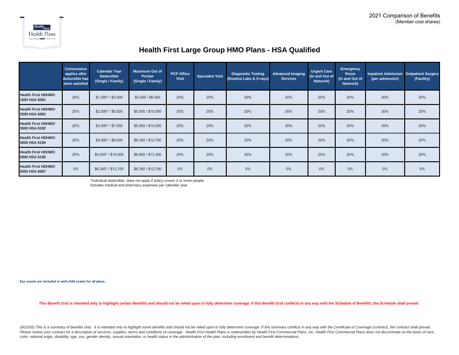

#### **Health First Large Group HMO Plans - HSA Qualified**

|                                            | <b>Coinsurance</b><br>applies after<br>deductible has<br>been satisfied | <b>Calendar Year</b><br><b>Deductible</b><br>(Single / Family) | <b>Maximum Out of</b><br>Pocket<br>(Single / Family) | PCP Office<br><b>Visit</b> | <b>Specialist Visit</b> | <b>Diagnostic Testing</b><br>(Routine Labs & X-rays) | <b>Advanced Imaging</b><br><b>Services</b> | <b>Urgent Care</b><br>(In and Out of<br>Network) | <b>Emergency</b><br><b>Room</b><br>(In and Out of<br>Network) | <b>Inpatient Admission Outpatient Surgery</b><br>(per admission) | (Facility) |
|--------------------------------------------|-------------------------------------------------------------------------|----------------------------------------------------------------|------------------------------------------------------|----------------------------|-------------------------|------------------------------------------------------|--------------------------------------------|--------------------------------------------------|---------------------------------------------------------------|------------------------------------------------------------------|------------|
| <b>Health First HDHMO</b><br>1500 HSA 6081 | 20%                                                                     | $$1,500^*$ / $$3,000$                                          | \$3,000 / \$6,000                                    | 20%                        | 20%                     | 20%                                                  | 20%                                        | 20%                                              | 20%                                                           | 20%                                                              | 20%        |
| <b>Health First HDHMO</b><br>2500 HSA 6083 | 20%                                                                     | $$2,500* / $5,000$                                             | \$5,000 / \$10,000                                   | 20%                        | 20%                     | 20%                                                  | 20%                                        | 20%                                              | 20%                                                           | 20%                                                              | 20%        |
| <b>Health First HDHMO</b><br>3500 HSA 6192 | 20%                                                                     | $$3,500^* / $7,000$                                            | \$5,000 / \$10,000                                   | 20%                        | 20%                     | 20%                                                  | 20%                                        | 20%                                              | 20%                                                           | 20%                                                              | 20%        |
| <b>Health First HDHMO</b><br>4500 HSA 6194 | 20%                                                                     | $$4,500* / $9,000$                                             | \$6,350 / \$12,700                                   | 20%                        | 20%                     | 20%                                                  | 20%                                        | 20%                                              | 20%                                                           | 20%                                                              | 20%        |
| <b>Health First HDHMO</b><br>5000 HSA 6196 | 20%                                                                     | \$5,000*/\$10,000                                              | \$6,650 / \$13,300                                   | 20%                        | 20%                     | 20%                                                  | 20%                                        | 20%                                              | 20%                                                           | 20%                                                              | 20%        |
| <b>Health First HDHMO</b><br>6350 HSA 6087 | 0%                                                                      | \$6,350*/\$12,700                                              | \$6,350 / \$12,700                                   | 0%                         | 0%                      | 0%                                                   | 0%                                         | $0\%$                                            | 0%                                                            | 0%                                                               | 0%         |

\*Individual deductible does not apply if policy covers 2 or more people.

Includes medical and pharmacy expenses per calendar year

**Eye exams are included in well-child exams for all plans.**

This Benefit Grid is intended only to highlight certain Benefits and should not be relied upon to fully determine coverage. If this Benefit Grid conflicts in any way with the Schedule of Benefits, the Schedule shall prevai

(9/22/20) This is a summary of benefits only. It is intended only to highlight some benefits and should not be relied upon to fully determine coverage. If this summary conflicts in any way with the Certificate of Coverage Please review your contract for a description of services, supplies, terms and conditions of coverage. Health First Health Plans is underwritten by Health First Commercial Plans, Inc. Health First Commercial Plans does not *color, national origin, disability, age, sex, gender identity, sexual orientation, or health status in the administration of the plan, including enrollment and benefit determinations.*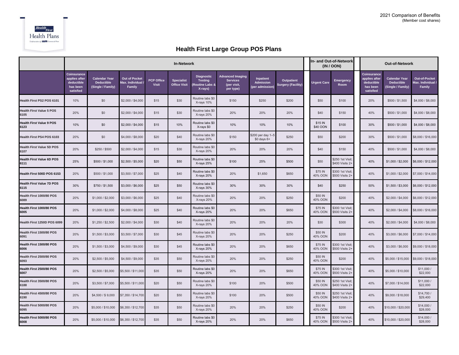

#### **Health First Large Group POS Plans**

|                                          |                                                                     |                                                                |                                                   |                                   |                                          | In- and Out-of-Network<br>(IN / OON)                                        | Out-of-Network                                                         |                                                         |                                                |  |                     |                                     |                                                                     |                                                                |                                                     |
|------------------------------------------|---------------------------------------------------------------------|----------------------------------------------------------------|---------------------------------------------------|-----------------------------------|------------------------------------------|-----------------------------------------------------------------------------|------------------------------------------------------------------------|---------------------------------------------------------|------------------------------------------------|--|---------------------|-------------------------------------|---------------------------------------------------------------------|----------------------------------------------------------------|-----------------------------------------------------|
|                                          | Coinsurance<br>applies after<br>deductible<br>has been<br>satisfied | <b>Calendar Year</b><br><b>Deductible</b><br>(Single / Family) | <b>Out of Pocket</b><br>Max. Individual<br>Family | <b>PCP Office</b><br><b>Visit</b> | <b>Specialist</b><br><b>Office Visit</b> | <b>Diagnostic</b><br><b>Testing</b><br><b>Routine Labs &amp;</b><br>X-rays) | <b>Advanced Imaging</b><br><b>Services</b><br>(per visit,<br>per type) | <b>Inpatient</b><br><b>Admission</b><br>(per admission) | <b>Outpatient</b><br><b>Surgery (Facility)</b> |  | <b>Urgent Care</b>  | <b>Emergency</b><br>Room            | Coinsurance<br>applies after<br>deductible<br>has been<br>satisfied | <b>Calendar Year</b><br><b>Deductible</b><br>(Single / Family) | Out-of-Pocket<br>Max. Individual /<br><b>Family</b> |
| Health First PS2 POS 6101                | 10%                                                                 | \$0                                                            | \$2,000 / \$4,000                                 | \$15                              | \$30                                     | Routine labs \$0<br>X-rays 10%                                              | \$150                                                                  | \$250                                                   | \$200                                          |  | \$50                | \$100                               | 20%                                                                 | \$500 / \$1,500                                                | \$4,000 / \$8,000                                   |
| <b>Health First Value 5 POS</b><br>6105  | 20%                                                                 | \$0                                                            | \$2,000 / \$4,000                                 | \$15                              | \$30                                     | Routine labs \$0<br>X-rays 20%                                              | 20%                                                                    | 20%                                                     | 20%                                            |  | \$40                | \$150                               | 40%                                                                 | \$500 / \$1,000                                                | \$4,000 / \$8,000                                   |
| <b>Health First Value 9 POS</b><br>6123  | 10%                                                                 | \$0                                                            | \$2,000 / \$4,000                                 | \$15                              | 10%                                      | Routine labs \$0<br>X-rays \$0                                              | 10%                                                                    | 10%                                                     | 10%                                            |  | \$15 IN<br>\$40 OON | \$100                               | 30%                                                                 | \$500 / \$1,000                                                | \$4,000 / \$8,000                                   |
| Health First PS4 POS 6103                | 20%                                                                 | \$0                                                            | \$4,000 / \$8,000                                 | \$20                              | \$40                                     | Routine labs \$0<br>X-rays 20%                                              | \$150                                                                  | \$200 per day 1-5<br>$$0$ days $6+$                     | \$250                                          |  | \$50                | \$200                               | 30%                                                                 | \$500 / \$1,000                                                | \$8,000 / \$16,000                                  |
| <b>Health First Value 5D POS</b><br>6107 | 20%                                                                 | \$250 / \$500                                                  | \$2,000 / \$4,000                                 | \$15                              | \$30                                     | Routine labs \$0<br>X-rays 20%                                              | 20%                                                                    | 20%                                                     | 20%                                            |  | \$40                | \$150                               | 40%                                                                 | \$500 / \$1,000                                                | \$4,000 / \$8,000                                   |
| <b>Health First Value 6D POS</b><br>6111 | 25%                                                                 | \$500 / \$1,000                                                | \$2,500 / \$5,000                                 | \$20                              | \$50                                     | Routine labs \$0<br>X-rays 25%                                              | \$100                                                                  | 25%                                                     | \$500                                          |  | \$50                | \$250 1st Visit:<br>\$400 Visits 2+ | 40%                                                                 | \$1,000 / \$2,000                                              | \$6,000 / \$12,000                                  |
| Health First 500D POS 6153               | 20%                                                                 | \$500 / \$1,000                                                | \$3,500 / \$7,000                                 | \$25                              | \$40                                     | Routine labs \$0<br>X-rays 20%                                              | 20%                                                                    | \$1,650                                                 | \$650                                          |  | \$75 IN<br>40% OON  | \$300 1st Visit;<br>\$500 Visits 2+ | 40%                                                                 | \$1,000 / \$2,000                                              | \$7,000 / \$14,000                                  |
| <b>Health First Value 7D POS</b><br>6115 | 30%                                                                 | \$750 / \$1,500                                                | \$3,000 / \$6,000                                 | \$25                              | \$50                                     | Routine labs \$0<br>X-rays 30%                                              | 30%                                                                    | 30%                                                     | 30%                                            |  | \$40                | \$250                               | 50%                                                                 | \$1,500 / \$3,000                                              | \$6,000 / \$12,000                                  |
| Health First 1000/80 POS<br>6089         | 20%                                                                 | \$1,000 / \$2,000                                              | \$3,000 / \$6,000                                 | \$25                              | \$40                                     | Routine labs \$0<br>X-rays 20%                                              | 20%                                                                    | 20%                                                     | \$250                                          |  | \$50 IN<br>40% OON  | \$200                               | 40%                                                                 | \$2,000 / \$4,000                                              | \$6,000 / \$12,000                                  |
| Health First 1000/80 POS<br>6005         | 20%                                                                 | \$1,000 / \$2,000                                              | \$4,000 / \$8,000                                 | \$25                              | \$40                                     | Routine labs \$0<br>X-rays 20%                                              | 20%                                                                    | 20%                                                     | \$650                                          |  | \$75 IN<br>40% OON  | \$300 1st Visit:<br>\$500 Visits 2+ | 40%                                                                 | \$2,000 / \$4,000                                              | \$8,000 / \$16,000                                  |
| Health First 1250D POS 6099              | 20%                                                                 | \$1,250 / \$2,500                                              | \$2,000 / \$4,000                                 | \$30                              | \$40                                     | Routine labs \$0<br>X-rays 20%                                              | 20%                                                                    | 20%                                                     | 20%                                            |  | \$30                | \$300                               | 40%                                                                 | \$2,000 / \$4,000                                              | \$4,000 / \$8,000                                   |
| Health First 1500/80 POS<br>6091         | 20%                                                                 | \$1,500 / \$3,000                                              | \$3,500 / \$7,000                                 | \$30                              | \$45                                     | Routine labs \$0<br>X-rays 20%                                              | 20%                                                                    | 20%                                                     | \$250                                          |  | \$50 IN<br>40% OON  | \$200                               | 40%                                                                 | \$3,000 / \$6,000                                              | \$7,000 / \$14,000                                  |
| Health First 1500/80 POS<br>6006         | 20%                                                                 | \$1,500 / \$3,000                                              | \$4,500 / \$9,000                                 | \$30                              | \$45                                     | Routine labs \$0<br>X-rays 20%                                              | 20%                                                                    | 20%                                                     | \$650                                          |  | \$75 IN<br>40% OON  | \$300 1st Visit;<br>\$500 Visits 2+ | 40%                                                                 | \$3,000 / \$6,000                                              | \$9,000 / \$18,000                                  |
| Health First 2500/80 POS<br>6093         | 20%                                                                 | \$2,500 / \$5,000                                              | \$4,500 / \$9,000                                 | \$35                              | \$50                                     | Routine labs \$0<br>X-rays 20%                                              | 20%                                                                    | 20%                                                     | \$250                                          |  | \$50 IN<br>40% OON  | \$200                               | 40%                                                                 | \$5,000 / \$15,000                                             | \$9,000 / \$18,000                                  |
| Health First 2500/80 POS<br>6007         | 20%                                                                 | \$2,500 / \$5,000                                              | \$5.500 / \$11.000                                | \$35                              | \$50                                     | Routine labs \$0<br>X-rays 20%                                              | 20%                                                                    | 20%                                                     | \$650                                          |  | \$75 IN<br>40% OON  | \$300 1st Visit:<br>\$500 Visits 2+ | 40%                                                                 | \$5,000 / \$10,000                                             | \$11,000/<br>\$22,000                               |
| Health First 3500/80 POS<br>6188         | 20%                                                                 | \$3,500 / \$7,000                                              | \$5,500 / \$11,000                                | \$20                              | \$50                                     | Routine labs \$0<br>X-rays 20%                                              | \$100                                                                  | 20%                                                     | \$500                                          |  | \$50 IN<br>40% OON  | \$250 1st Visit;<br>\$400 Visits 2+ | 40%                                                                 | \$7,000 / \$14,000                                             | \$11,000/<br>\$22,000                               |
| Health First 4500/80 POS<br>6190         | 20%                                                                 | \$4,500 / \$9,000                                              | \$7,350 / \$14,700                                | \$20                              | \$50                                     | Routine labs \$0<br>X-rays 20%                                              | \$100                                                                  | 20%                                                     | \$500                                          |  | \$50 IN<br>40% OON  | \$250 1st Visit;<br>\$400 Visits 2+ | 40%                                                                 | \$9,000 / \$18,000                                             | \$14,700/<br>\$29,400                               |
| Health First 5000/80 POS<br>6095         | 20%                                                                 | \$5,000 / \$10,000                                             | \$6,350 / \$12,700                                | \$35                              | \$50                                     | Routine labs \$0<br>X-rays 20%                                              | 20%                                                                    | 20%                                                     | \$250                                          |  | \$50 IN<br>40% OON  | \$200                               | 40%                                                                 | \$10,000 / \$20,000                                            | \$14,000/<br>\$28,000                               |
| Health First 5000/80 POS<br>6008         | 20%                                                                 | \$5,000 / \$10,000                                             | \$6,350 / \$12,700                                | \$35                              | \$50                                     | Routine labs \$0<br>X-rays 20%                                              | 20%                                                                    | 20%                                                     | \$650                                          |  | \$75 IN<br>40% OON  | \$300 1st Visit:<br>\$500 Visits 2+ | 40%                                                                 | \$10,000 / \$20,000                                            | \$14,000/<br>\$28,000                               |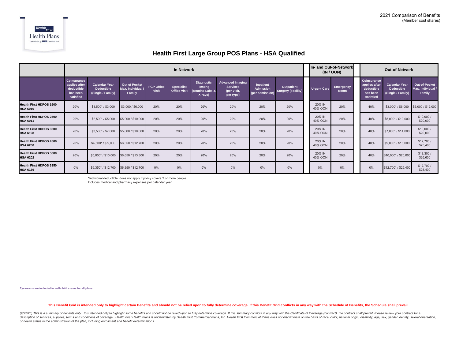

#### **Health First Large Group POS Plans - HSA Qualified**

|                                                   |                                                                     |                                                                |                                              |                            |                                          | In- and Out-of-Network<br>(IN / OON)                              | <b>Out-of-Network</b>                                                  |                                           |                                         |                    |                   |                                                                     |                                                                |                                              |
|---------------------------------------------------|---------------------------------------------------------------------|----------------------------------------------------------------|----------------------------------------------|----------------------------|------------------------------------------|-------------------------------------------------------------------|------------------------------------------------------------------------|-------------------------------------------|-----------------------------------------|--------------------|-------------------|---------------------------------------------------------------------|----------------------------------------------------------------|----------------------------------------------|
|                                                   | Coinsurance<br>applies after<br>deductible<br>has been<br>satisfied | <b>Calendar Year</b><br><b>Deductible</b><br>(Single / Family) | Out of Pocket<br>Max. Individual /<br>Family | <b>PCP Office</b><br>Visit | <b>Specialist</b><br><b>Office Visit</b> | <b>Diagnostic</b><br><b>Testing</b><br>(Routine Labs &<br>X-rays) | <b>Advanced Imaging</b><br><b>Services</b><br>(per visit,<br>per type) | Inpatient<br>Admission<br>(per admission) | Outpatient<br><b>Surgery (Facility)</b> | <b>Urgent Care</b> | Emergency<br>Room | Coinsurance<br>applies after<br>deductible<br>has been<br>satisfied | <b>Calendar Year</b><br><b>Deductible</b><br>(Single / Family) | Out-of-Pocket<br>Max. Individual /<br>Family |
| <b>Health First HDPOS 1500</b><br><b>HSA 6010</b> | 20%                                                                 | $$1,500$ * / \$3,000                                           | \$3,000 / \$6,000                            | 20%                        | 20%                                      | 20%                                                               | 20%                                                                    | 20%                                       | 20%                                     | 20% IN<br>40% OON  | 20%               | 40%                                                                 | $$3,000*$ / \$6,000                                            | \$6,000 / \$12,000                           |
| <b>Health First HDPOS 2500</b><br><b>HSA 6011</b> | 20%                                                                 | $$2,500*$ / \$5,000                                            | \$5,000 / \$10,000                           | 20%                        | 20%                                      | 20%                                                               | 20%                                                                    | 20%                                       | 20%                                     | 20% IN<br>40% OON  | 20%               | 40%                                                                 | \$5,000*/\$10,000                                              | \$10,000 /<br>\$20,000                       |
| <b>Health First HDPOS 3500</b><br><b>HSA 6198</b> | 20%                                                                 | \$3,500* / \$7,000                                             | \$5,000 / \$10,000                           | 20%                        | 20%                                      | 20%                                                               | 20%                                                                    | 20%                                       | 20%                                     | 20% IN<br>40% OON  | 20%               | 40%                                                                 | \$7,000*/\$14,000                                              | \$10,000 /<br>\$20,000                       |
| <b>Health First HDPOS 4500</b><br><b>HSA 6200</b> | 20%                                                                 | $$4,500$ * / \$9,000                                           | \$6,350 / \$12,700                           | 20%                        | 20%                                      | 20%                                                               | 20%                                                                    | 20%                                       | 20%                                     | 20% IN<br>40% OON  | 20%               | 40%                                                                 | \$9,000*/\$18,000                                              | \$12,700 /<br>\$25,400                       |
| <b>Health First HDPOS 5000</b><br><b>HSA 6202</b> | 20%                                                                 | \$5,000*/\$10,000                                              | \$6,650 / \$13,300                           | 20%                        | 20%                                      | 20%                                                               | 20%                                                                    | 20%                                       | 20%                                     | 20% IN<br>40% OON  | 20%               | 40%                                                                 | \$10,000* / \$20,000                                           | \$13,300/<br>\$26,600                        |
| Health First HDPOS 6350<br><b>HSA 6139</b>        | $0\%$                                                               | \$6,350*/\$12,700                                              | \$6,350 / \$12,700                           | 0%                         | 0%                                       | 0%                                                                | $0\%$                                                                  | 0%                                        | 0%                                      | $0\%$              | 0%                | 0%                                                                  | \$12,700*/\$25,400                                             | \$12,700 /<br>\$25,400                       |

\*Individual deductible does not apply if policy covers 2 or more people. Includes medical and pharmacy expenses per calendar year

**Eye exams are included in well-child exams for all plans.**

#### This Benefit Grid is intended only to highlight certain Benefits and should not be relied upon to fully determine coverage. If this Benefit Grid conflicts in any way with the Schedule of Benefits, the Schedule shall prevai

(9/22/20) This is a summary of benefits only. It is intended only to highlight some benefits and should not be relied upon to fully determine coverage. If this summary conflicts in any way with the Certificate of Coverage description of services, supplies, terms and conditions of coverage. Health First Health Plans is underwritten by Health First Commercial Plans, Inc. Health First Commercial Plans does not discriminate on the basis of race *or health status in the administration of the plan, including enrollment and benefit determinations.*